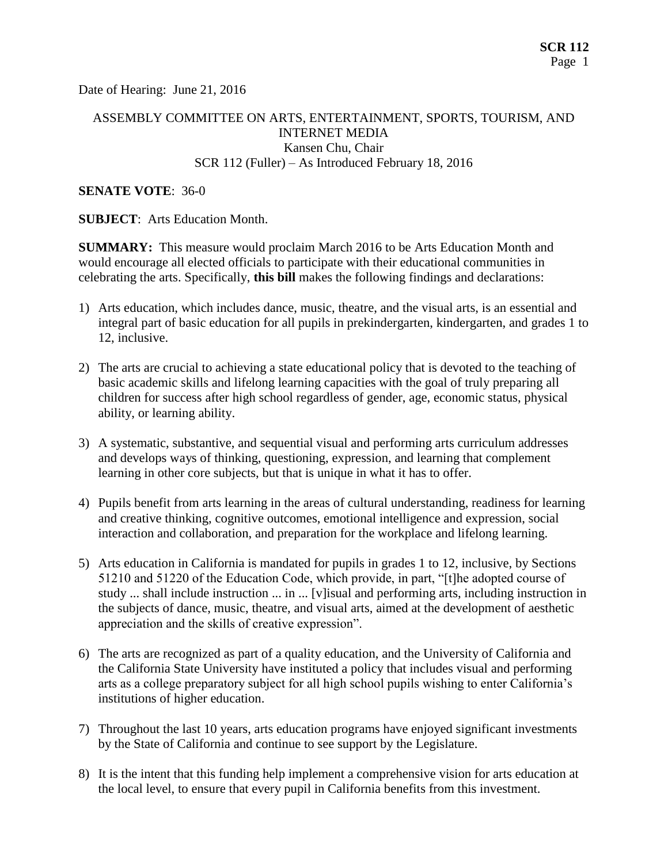Date of Hearing: June 21, 2016

### ASSEMBLY COMMITTEE ON ARTS, ENTERTAINMENT, SPORTS, TOURISM, AND INTERNET MEDIA Kansen Chu, Chair SCR 112 (Fuller) – As Introduced February 18, 2016

#### **SENATE VOTE**: 36-0

**SUBJECT**: Arts Education Month.

**SUMMARY:** This measure would proclaim March 2016 to be Arts Education Month and would encourage all elected officials to participate with their educational communities in celebrating the arts. Specifically, **this bill** makes the following findings and declarations:

- 1) Arts education, which includes dance, music, theatre, and the visual arts, is an essential and integral part of basic education for all pupils in prekindergarten, kindergarten, and grades 1 to 12, inclusive.
- 2) The arts are crucial to achieving a state educational policy that is devoted to the teaching of basic academic skills and lifelong learning capacities with the goal of truly preparing all children for success after high school regardless of gender, age, economic status, physical ability, or learning ability.
- 3) A systematic, substantive, and sequential visual and performing arts curriculum addresses and develops ways of thinking, questioning, expression, and learning that complement learning in other core subjects, but that is unique in what it has to offer.
- 4) Pupils benefit from arts learning in the areas of cultural understanding, readiness for learning and creative thinking, cognitive outcomes, emotional intelligence and expression, social interaction and collaboration, and preparation for the workplace and lifelong learning.
- 5) Arts education in California is mandated for pupils in grades 1 to 12, inclusive, by Sections 51210 and 51220 of the Education Code, which provide, in part, "[t]he adopted course of study ... shall include instruction ... in ... [v]isual and performing arts, including instruction in the subjects of dance, music, theatre, and visual arts, aimed at the development of aesthetic appreciation and the skills of creative expression".
- 6) The arts are recognized as part of a quality education, and the University of California and the California State University have instituted a policy that includes visual and performing arts as a college preparatory subject for all high school pupils wishing to enter California's institutions of higher education.
- 7) Throughout the last 10 years, arts education programs have enjoyed significant investments by the State of California and continue to see support by the Legislature.
- 8) It is the intent that this funding help implement a comprehensive vision for arts education at the local level, to ensure that every pupil in California benefits from this investment.